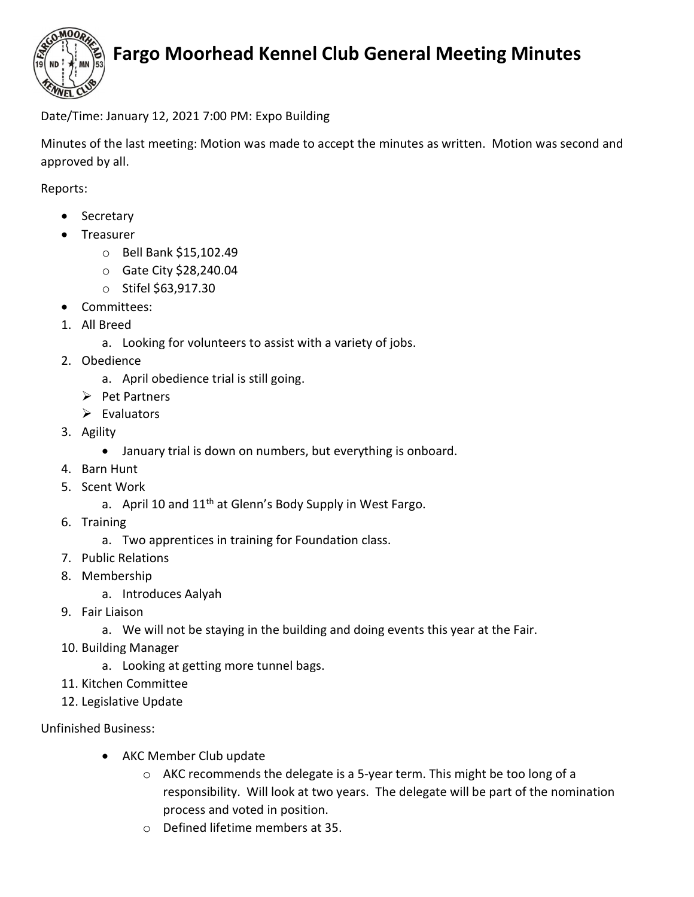

## Fargo Moorhead Kennel Club General Meeting Minutes

Date/Time: January 12, 2021 7:00 PM: Expo Building

Minutes of the last meeting: Motion was made to accept the minutes as written. Motion was second and approved by all.

Reports:

- Secretary
- Treasurer
	- o Bell Bank \$15,102.49
	- o Gate City \$28,240.04
	- o Stifel \$63,917.30
- Committees:
- 1. All Breed
	- a. Looking for volunteers to assist with a variety of jobs.
- 2. Obedience
	- a. April obedience trial is still going.
	- $\triangleright$  Pet Partners
	- $\triangleright$  Evaluators
- 3. Agility
	- January trial is down on numbers, but everything is onboard.
- 4. Barn Hunt
- 5. Scent Work
	- a. April 10 and  $11<sup>th</sup>$  at Glenn's Body Supply in West Fargo.
- 6. Training
	- a. Two apprentices in training for Foundation class.
- 7. Public Relations
- 8. Membership
	- a. Introduces Aalyah
- 9. Fair Liaison
	- a. We will not be staying in the building and doing events this year at the Fair.
- 10. Building Manager
	- a. Looking at getting more tunnel bags.
- 11. Kitchen Committee
- 12. Legislative Update

## Unfinished Business:

- AKC Member Club update
	- $\circ$  AKC recommends the delegate is a 5-year term. This might be too long of a responsibility. Will look at two years. The delegate will be part of the nomination process and voted in position.
	- o Defined lifetime members at 35.